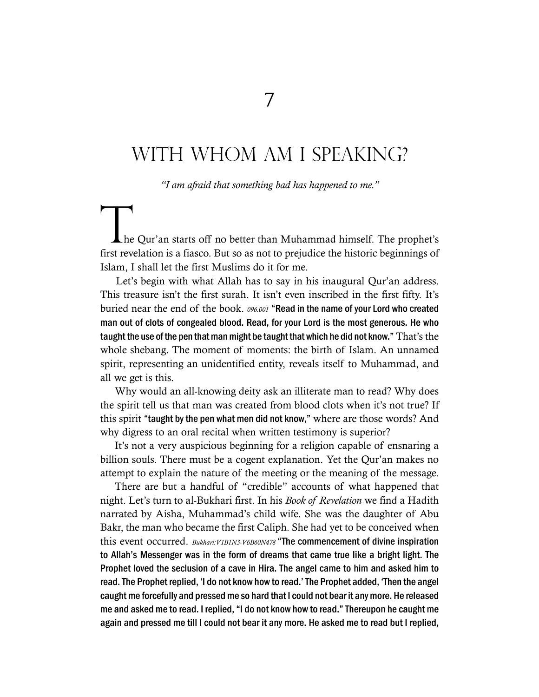## WITH WHOM AM I SPEAKING?

*"I am afraid that something bad has happened to me."*

The Qur'an starts off no better than Muhammad himself. The prophet's first revelation is a fiasco. But so as not to prejudice the historic beginnings of Islam, I shall let the first Muslims do it for me.

Let's begin with what Allah has to say in his inaugural Qur'an address. This treasure isn't the first surah. It isn't even inscribed in the first fifty. It's buried near the end of the book. *096.001* "Read in the name of your Lord who created man out of clots of congealed blood. Read, for your Lord is the most generous. He who taught the use of the pen that man might be taught that which he did not know." That's the whole shebang. The moment of moments: the birth of Islam. An unnamed spirit, representing an unidentified entity, reveals itself to Muhammad, and all we get is this.

Why would an all-knowing deity ask an illiterate man to read? Why does the spirit tell us that man was created from blood clots when it's not true? If this spirit "taught by the pen what men did not know," where are those words? And why digress to an oral recital when written testimony is superior?

It's not a very auspicious beginning for a religion capable of ensnaring a billion souls. There must be a cogent explanation. Yet the Qur'an makes no attempt to explain the nature of the meeting or the meaning of the message.

There are but a handful of "credible" accounts of what happened that night. Let's turn to al-Bukhari first. In his *Book of Revelation* we find a Hadith narrated by Aisha, Muhammad's child wife. She was the daughter of Abu Bakr, the man who became the first Caliph. She had yet to be conceived when this event occurred. *Bukhari:V1B1N3-V6B60N478* "The commencement of divine inspiration to Allah's Messenger was in the form of dreams that came true like a bright light. The Prophet loved the seclusion of a cave in Hira. The angel came to him and asked him to read. The Prophet replied, 'I do not know how to read.' The Prophet added, 'Then the angel caught me forcefully and pressed me so hard that I could not bear it any more. He released me and asked me to read. I replied, "I do not know how to read." Thereupon he caught me again and pressed me till I could not bear it any more. He asked me to read but I replied,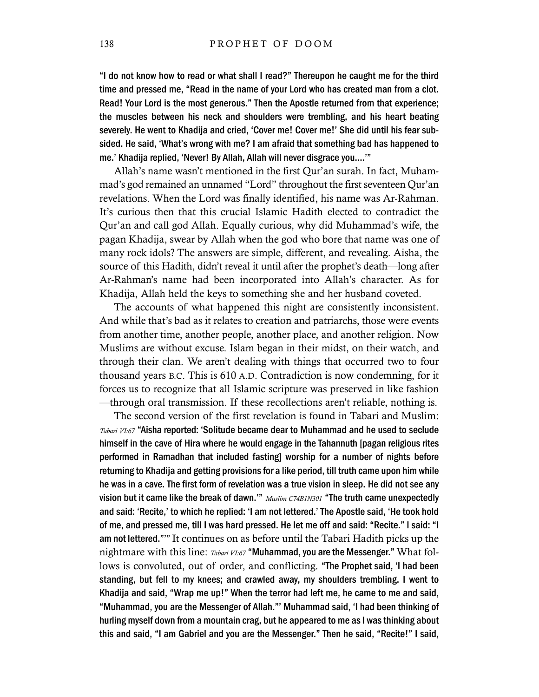"I do not know how to read or what shall I read?" Thereupon he caught me for the third time and pressed me, "Read in the name of your Lord who has created man from a clot. Read! Your Lord is the most generous." Then the Apostle returned from that experience; the muscles between his neck and shoulders were trembling, and his heart beating severely. He went to Khadija and cried, 'Cover me! Cover me!' She did until his fear subsided. He said, 'What's wrong with me? I am afraid that something bad has happened to me.' Khadija replied, 'Never! By Allah, Allah will never disgrace you….'"

Allah's name wasn't mentioned in the first Qur'an surah. In fact, Muhammad's god remained an unnamed "Lord" throughout the first seventeen Qur'an revelations. When the Lord was finally identified, his name was Ar-Rahman. It's curious then that this crucial Islamic Hadith elected to contradict the Qur'an and call god Allah. Equally curious, why did Muhammad's wife, the pagan Khadija, swear by Allah when the god who bore that name was one of many rock idols? The answers are simple, different, and revealing. Aisha, the source of this Hadith, didn't reveal it until after the prophet's death—long after Ar-Rahman's name had been incorporated into Allah's character. As for Khadija, Allah held the keys to something she and her husband coveted.

The accounts of what happened this night are consistently inconsistent. And while that's bad as it relates to creation and patriarchs, those were events from another time, another people, another place, and another religion. Now Muslims are without excuse. Islam began in their midst, on their watch, and through their clan. We aren't dealing with things that occurred two to four thousand years B.C. This is 610 A.D. Contradiction is now condemning, for it forces us to recognize that all Islamic scripture was preserved in like fashion —through oral transmission. If these recollections aren't reliable, nothing is.

The second version of the first revelation is found in Tabari and Muslim: *Tabari VI:67* "Aisha reported: 'Solitude became dear to Muhammad and he used to seclude himself in the cave of Hira where he would engage in the Tahannuth [pagan religious rites performed in Ramadhan that included fasting] worship for a number of nights before returning to Khadija and getting provisions for a like period, till truth came upon him while he was in a cave. The first form of revelation was a true vision in sleep. He did not see any vision but it came like the break of dawn.'" *Muslim C74B1N301* "The truth came unexpectedly and said: 'Recite,' to which he replied: 'I am not lettered.' The Apostle said, 'He took hold of me, and pressed me, till I was hard pressed. He let me off and said: "Recite." I said: "I am not lettered."'" It continues on as before until the Tabari Hadith picks up the nightmare with this line: *Tabari VI:67* "Muhammad, you are the Messenger." What follows is convoluted, out of order, and conflicting. "The Prophet said, 'I had been standing, but fell to my knees; and crawled away, my shoulders trembling. I went to Khadija and said, "Wrap me up!" When the terror had left me, he came to me and said, "Muhammad, you are the Messenger of Allah."' Muhammad said, 'I had been thinking of hurling myself down from a mountain crag, but he appeared to me as I was thinking about this and said, "I am Gabriel and you are the Messenger." Then he said, "Recite!" I said,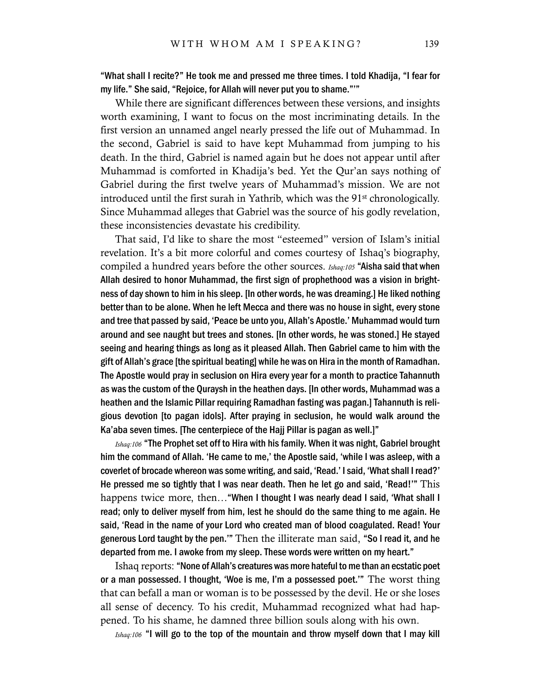"What shall I recite?" He took me and pressed me three times. I told Khadija, "I fear for my life." She said, "Rejoice, for Allah will never put you to shame."'"

While there are significant differences between these versions, and insights worth examining, I want to focus on the most incriminating details. In the first version an unnamed angel nearly pressed the life out of Muhammad. In the second, Gabriel is said to have kept Muhammad from jumping to his death. In the third, Gabriel is named again but he does not appear until after Muhammad is comforted in Khadija's bed. Yet the Qur'an says nothing of Gabriel during the first twelve years of Muhammad's mission. We are not introduced until the first surah in Yathrib, which was the 91st chronologically. Since Muhammad alleges that Gabriel was the source of his godly revelation, these inconsistencies devastate his credibility.

That said, I'd like to share the most "esteemed" version of Islam's initial revelation. It's a bit more colorful and comes courtesy of Ishaq's biography, compiled a hundred years before the other sources. *Ishaq:105* "Aisha said that when Allah desired to honor Muhammad, the first sign of prophethood was a vision in brightness of day shown to him in his sleep. [In other words, he was dreaming.] He liked nothing better than to be alone. When he left Mecca and there was no house in sight, every stone and tree that passed by said, 'Peace be unto you, Allah's Apostle.' Muhammad would turn around and see naught but trees and stones. [In other words, he was stoned.] He stayed seeing and hearing things as long as it pleased Allah. Then Gabriel came to him with the gift of Allah's grace [the spiritual beating] while he was on Hira in the month of Ramadhan. The Apostle would pray in seclusion on Hira every year for a month to practice Tahannuth as was the custom of the Quraysh in the heathen days. [In other words, Muhammad was a heathen and the Islamic Pillar requiring Ramadhan fasting was pagan.] Tahannuth is religious devotion [to pagan idols]. After praying in seclusion, he would walk around the Ka'aba seven times. [The centerpiece of the Hajj Pillar is pagan as well.]"

*Ishaq:106* "The Prophet set off to Hira with his family. When it was night, Gabriel brought him the command of Allah. 'He came to me,' the Apostle said, 'while I was asleep, with a coverlet of brocade whereon was some writing, and said, 'Read.' I said, 'What shall I read?' He pressed me so tightly that I was near death. Then he let go and said, 'Read!'" This happens twice more, then…"When I thought I was nearly dead I said, 'What shall I read; only to deliver myself from him, lest he should do the same thing to me again. He said, 'Read in the name of your Lord who created man of blood coagulated. Read! Your generous Lord taught by the pen.'" Then the illiterate man said, "So I read it, and he departed from me. I awoke from my sleep. These words were written on my heart."

Ishaq reports: "None of Allah's creatures was more hateful to me than an ecstatic poet or a man possessed. I thought, 'Woe is me, I'm a possessed poet.'" The worst thing that can befall a man or woman is to be possessed by the devil. He or she loses all sense of decency. To his credit, Muhammad recognized what had happened. To his shame, he damned three billion souls along with his own.

*Ishaq:106* "I will go to the top of the mountain and throw myself down that I may kill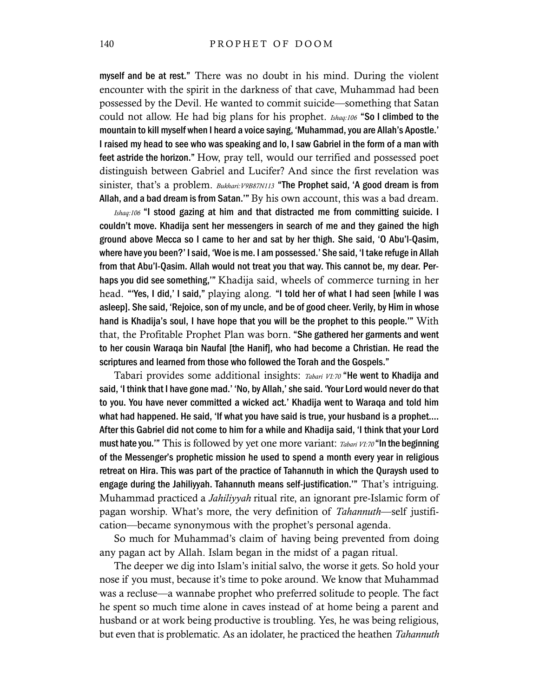myself and be at rest." There was no doubt in his mind. During the violent encounter with the spirit in the darkness of that cave, Muhammad had been possessed by the Devil. He wanted to commit suicide—something that Satan could not allow. He had big plans for his prophet. *Ishaq:106* "So I climbed to the mountain to kill myself when I heard a voice saying, 'Muhammad, you are Allah's Apostle.' I raised my head to see who was speaking and lo, I saw Gabriel in the form of a man with feet astride the horizon." How, pray tell, would our terrified and possessed poet distinguish between Gabriel and Lucifer? And since the first revelation was sinister, that's a problem. *Bukhari:V9B87N113* "The Prophet said, 'A good dream is from Allah, and a bad dream is from Satan.'" By his own account, this was a bad dream.

*Ishaq:106* "I stood gazing at him and that distracted me from committing suicide. I couldn't move. Khadija sent her messengers in search of me and they gained the high ground above Mecca so I came to her and sat by her thigh. She said, 'O Abu'l-Qasim, where have you been?' I said, 'Woe is me. I am possessed.' She said, 'I take refuge in Allah from that Abu'l-Qasim. Allah would not treat you that way. This cannot be, my dear. Perhaps you did see something,'" Khadija said, wheels of commerce turning in her head. "'Yes, I did,' I said," playing along. "I told her of what I had seen [while I was asleep]. She said, 'Rejoice, son of my uncle, and be of good cheer. Verily, by Him in whose hand is Khadija's soul, I have hope that you will be the prophet to this people.'" With that, the Profitable Prophet Plan was born. "She gathered her garments and went to her cousin Waraqa bin Naufal [the Hanif], who had become a Christian. He read the scriptures and learned from those who followed the Torah and the Gospels."

Tabari provides some additional insights: *Tabari VI:70* "He went to Khadija and said, 'I think that I have gone mad.' 'No, by Allah,' she said. 'Your Lord would never do that to you. You have never committed a wicked act.' Khadija went to Waraqa and told him what had happened. He said, 'If what you have said is true, your husband is a prophet.... After this Gabriel did not come to him for a while and Khadija said, 'I think that your Lord must hate you.'" This is followed by yet one more variant: *Tabari VI:70* "In the beginning of the Messenger's prophetic mission he used to spend a month every year in religious retreat on Hira. This was part of the practice of Tahannuth in which the Quraysh used to engage during the Jahiliyyah. Tahannuth means self-justification.'" That's intriguing. Muhammad practiced a *Jahiliyyah* ritual rite, an ignorant pre-Islamic form of pagan worship. What's more, the very definition of *Tahannuth*—self justification—became synonymous with the prophet's personal agenda.

So much for Muhammad's claim of having being prevented from doing any pagan act by Allah. Islam began in the midst of a pagan ritual.

The deeper we dig into Islam's initial salvo, the worse it gets. So hold your nose if you must, because it's time to poke around. We know that Muhammad was a recluse—a wannabe prophet who preferred solitude to people. The fact he spent so much time alone in caves instead of at home being a parent and husband or at work being productive is troubling. Yes, he was being religious, but even that is problematic. As an idolater, he practiced the heathen *Tahannuth*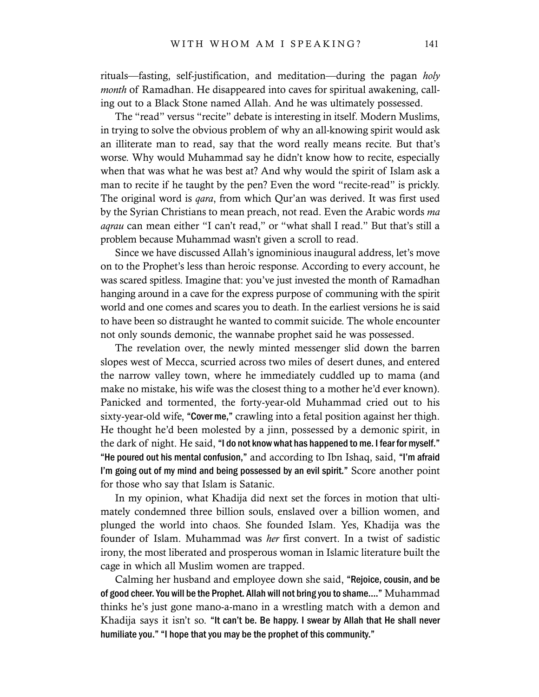rituals—fasting, self-justification, and meditation—during the pagan *holy month* of Ramadhan. He disappeared into caves for spiritual awakening, calling out to a Black Stone named Allah. And he was ultimately possessed.

The "read" versus "recite" debate is interesting in itself. Modern Muslims, in trying to solve the obvious problem of why an all-knowing spirit would ask an illiterate man to read, say that the word really means recite. But that's worse. Why would Muhammad say he didn't know how to recite, especially when that was what he was best at? And why would the spirit of Islam ask a man to recite if he taught by the pen? Even the word "recite-read" is prickly. The original word is *qara*, from which Qur'an was derived. It was first used by the Syrian Christians to mean preach, not read. Even the Arabic words *ma aqrau* can mean either "I can't read," or "what shall I read." But that's still a problem because Muhammad wasn't given a scroll to read.

Since we have discussed Allah's ignominious inaugural address, let's move on to the Prophet's less than heroic response. According to every account, he was scared spitless. Imagine that: you've just invested the month of Ramadhan hanging around in a cave for the express purpose of communing with the spirit world and one comes and scares you to death. In the earliest versions he is said to have been so distraught he wanted to commit suicide. The whole encounter not only sounds demonic, the wannabe prophet said he was possessed.

The revelation over, the newly minted messenger slid down the barren slopes west of Mecca, scurried across two miles of desert dunes, and entered the narrow valley town, where he immediately cuddled up to mama (and make no mistake, his wife was the closest thing to a mother he'd ever known). Panicked and tormented, the forty-year-old Muhammad cried out to his sixty-year-old wife, "Cover me," crawling into a fetal position against her thigh. He thought he'd been molested by a jinn, possessed by a demonic spirit, in the dark of night. He said, "I do not know what has happened to me. I fear for myself." "He poured out his mental confusion," and according to Ibn Ishaq, said, "I'm afraid I'm going out of my mind and being possessed by an evil spirit." Score another point for those who say that Islam is Satanic.

In my opinion, what Khadija did next set the forces in motion that ultimately condemned three billion souls, enslaved over a billion women, and plunged the world into chaos. She founded Islam. Yes, Khadija was the founder of Islam. Muhammad was *her* first convert. In a twist of sadistic irony, the most liberated and prosperous woman in Islamic literature built the cage in which all Muslim women are trapped.

Calming her husband and employee down she said, "Rejoice, cousin, and be of good cheer. You will be the Prophet. Allah will not bring you to shame…." Muhammad thinks he's just gone mano-a-mano in a wrestling match with a demon and Khadija says it isn't so. "It can't be. Be happy. I swear by Allah that He shall never humiliate you." "I hope that you may be the prophet of this community."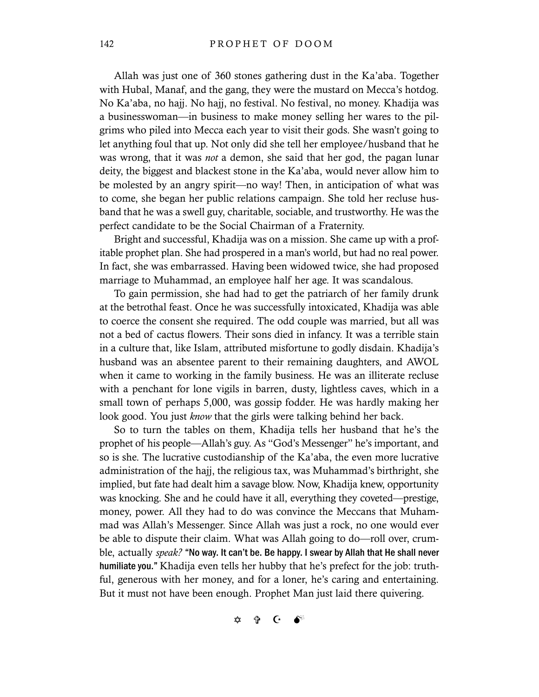Allah was just one of 360 stones gathering dust in the Ka'aba. Together with Hubal, Manaf, and the gang, they were the mustard on Mecca's hotdog. No Ka'aba, no hajj. No hajj, no festival. No festival, no money. Khadija was a businesswoman—in business to make money selling her wares to the pilgrims who piled into Mecca each year to visit their gods. She wasn't going to let anything foul that up. Not only did she tell her employee/husband that he was wrong, that it was *not* a demon, she said that her god, the pagan lunar deity, the biggest and blackest stone in the Ka'aba, would never allow him to be molested by an angry spirit—no way! Then, in anticipation of what was to come, she began her public relations campaign. She told her recluse husband that he was a swell guy, charitable, sociable, and trustworthy. He was the perfect candidate to be the Social Chairman of a Fraternity.

Bright and successful, Khadija was on a mission. She came up with a profitable prophet plan. She had prospered in a man's world, but had no real power. In fact, she was embarrassed. Having been widowed twice, she had proposed marriage to Muhammad, an employee half her age. It was scandalous.

To gain permission, she had had to get the patriarch of her family drunk at the betrothal feast. Once he was successfully intoxicated, Khadija was able to coerce the consent she required. The odd couple was married, but all was not a bed of cactus flowers. Their sons died in infancy. It was a terrible stain in a culture that, like Islam, attributed misfortune to godly disdain. Khadija's husband was an absentee parent to their remaining daughters, and AWOL when it came to working in the family business. He was an illiterate recluse with a penchant for lone vigils in barren, dusty, lightless caves, which in a small town of perhaps 5,000, was gossip fodder. He was hardly making her look good. You just *know* that the girls were talking behind her back.

So to turn the tables on them, Khadija tells her husband that he's the prophet of his people—Allah's guy. As "God's Messenger" he's important, and so is she. The lucrative custodianship of the Ka'aba, the even more lucrative administration of the hajj, the religious tax, was Muhammad's birthright, she implied, but fate had dealt him a savage blow. Now, Khadija knew, opportunity was knocking. She and he could have it all, everything they coveted—prestige, money, power. All they had to do was convince the Meccans that Muhammad was Allah's Messenger. Since Allah was just a rock, no one would ever be able to dispute their claim. What was Allah going to do—roll over, crumble, actually *speak?* "No way. It can't be. Be happy. I swear by Allah that He shall never humiliate you." Khadija even tells her hubby that he's prefect for the job: truthful, generous with her money, and for a loner, he's caring and entertaining. But it must not have been enough. Prophet Man just laid there quivering.

骨  $C$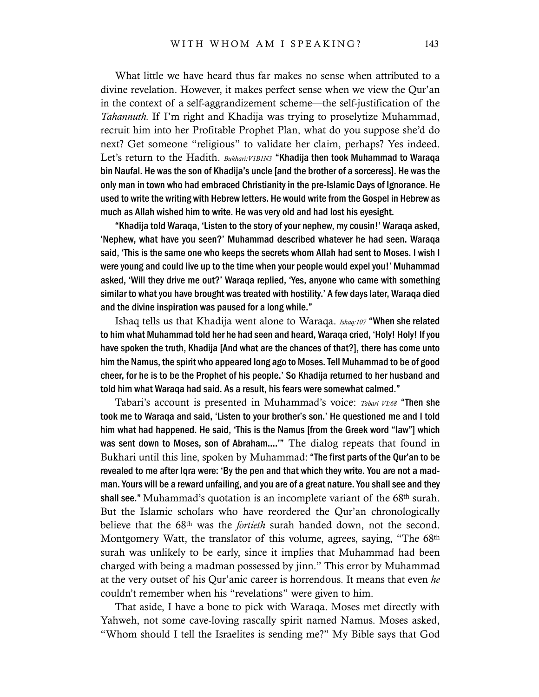What little we have heard thus far makes no sense when attributed to a divine revelation. However, it makes perfect sense when we view the Qur'an in the context of a self-aggrandizement scheme—the self-justification of the *Tahannuth.* If I'm right and Khadija was trying to proselytize Muhammad, recruit him into her Profitable Prophet Plan, what do you suppose she'd do next? Get someone "religious" to validate her claim, perhaps? Yes indeed. Let's return to the Hadith. *Bukhari:V1B1N3* "Khadija then took Muhammad to Waraqa bin Naufal. He was the son of Khadija's uncle [and the brother of a sorceress]. He was the only man in town who had embraced Christianity in the pre-Islamic Days of Ignorance. He used to write the writing with Hebrew letters. He would write from the Gospel in Hebrew as much as Allah wished him to write. He was very old and had lost his eyesight.

"Khadija told Waraqa, 'Listen to the story of your nephew, my cousin!' Waraqa asked, 'Nephew, what have you seen?' Muhammad described whatever he had seen. Waraqa said, 'This is the same one who keeps the secrets whom Allah had sent to Moses. I wish I were young and could live up to the time when your people would expel you!' Muhammad asked, 'Will they drive me out?' Waraqa replied, 'Yes, anyone who came with something similar to what you have brought was treated with hostility.' A few days later, Waraqa died and the divine inspiration was paused for a long while."

Ishaq tells us that Khadija went alone to Waraqa. *Ishaq:107* "When she related to him what Muhammad told her he had seen and heard, Waraqa cried, 'Holy! Holy! If you have spoken the truth, Khadija [And what are the chances of that?], there has come unto him the Namus, the spirit who appeared long ago to Moses. Tell Muhammad to be of good cheer, for he is to be the Prophet of his people.' So Khadija returned to her husband and told him what Waraqa had said. As a result, his fears were somewhat calmed."

Tabari's account is presented in Muhammad's voice: *Tabari VI:68* "Then she took me to Waraqa and said, 'Listen to your brother's son.' He questioned me and I told him what had happened. He said, 'This is the Namus [from the Greek word "law"] which was sent down to Moses, son of Abraham….'" The dialog repeats that found in Bukhari until this line, spoken by Muhammad: "The first parts of the Qur'an to be revealed to me after Iqra were: 'By the pen and that which they write. You are not a madman. Yours will be a reward unfailing, and you are of a great nature. You shall see and they shall see." Muhammad's quotation is an incomplete variant of the 68<sup>th</sup> surah. But the Islamic scholars who have reordered the Qur'an chronologically believe that the 68th was the *fortieth* surah handed down, not the second. Montgomery Watt, the translator of this volume, agrees, saying, "The 68<sup>th</sup> surah was unlikely to be early, since it implies that Muhammad had been charged with being a madman possessed by jinn." This error by Muhammad at the very outset of his Qur'anic career is horrendous. It means that even *he* couldn't remember when his "revelations" were given to him.

That aside, I have a bone to pick with Waraqa. Moses met directly with Yahweh, not some cave-loving rascally spirit named Namus. Moses asked, "Whom should I tell the Israelites is sending me?" My Bible says that God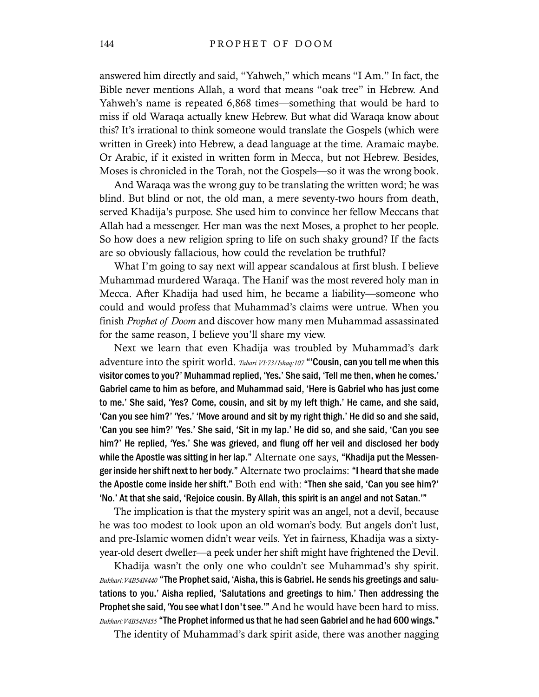answered him directly and said, "Yahweh," which means "I Am." In fact, the Bible never mentions Allah, a word that means "oak tree" in Hebrew. And Yahweh's name is repeated 6,868 times—something that would be hard to miss if old Waraqa actually knew Hebrew. But what did Waraqa know about this? It's irrational to think someone would translate the Gospels (which were written in Greek) into Hebrew, a dead language at the time. Aramaic maybe. Or Arabic, if it existed in written form in Mecca, but not Hebrew. Besides, Moses is chronicled in the Torah, not the Gospels—so it was the wrong book.

And Waraqa was the wrong guy to be translating the written word; he was blind. But blind or not, the old man, a mere seventy-two hours from death, served Khadija's purpose. She used him to convince her fellow Meccans that Allah had a messenger. Her man was the next Moses, a prophet to her people. So how does a new religion spring to life on such shaky ground? If the facts are so obviously fallacious, how could the revelation be truthful?

What I'm going to say next will appear scandalous at first blush. I believe Muhammad murdered Waraqa. The Hanif was the most revered holy man in Mecca. After Khadija had used him, he became a liability—someone who could and would profess that Muhammad's claims were untrue. When you finish *Prophet of Doom* and discover how many men Muhammad assassinated for the same reason, I believe you'll share my view.

Next we learn that even Khadija was troubled by Muhammad's dark adventure into the spirit world. *Tabari VI:73/Ishaq:107* "'Cousin, can you tell me when this visitor comes to you?' Muhammad replied, 'Yes.' She said, 'Tell me then, when he comes.' Gabriel came to him as before, and Muhammad said, 'Here is Gabriel who has just come to me.' She said, 'Yes? Come, cousin, and sit by my left thigh.' He came, and she said, 'Can you see him?' 'Yes.' 'Move around and sit by my right thigh.' He did so and she said, 'Can you see him?' 'Yes.' She said, 'Sit in my lap.' He did so, and she said, 'Can you see him?' He replied, 'Yes.' She was grieved, and flung off her veil and disclosed her body while the Apostle was sitting in her lap." Alternate one says, "Khadija put the Messenger inside her shift next to her body." Alternate two proclaims: "I heard that she made the Apostle come inside her shift." Both end with: "Then she said, 'Can you see him?' 'No.' At that she said, 'Rejoice cousin. By Allah, this spirit is an angel and not Satan.'"

The implication is that the mystery spirit was an angel, not a devil, because he was too modest to look upon an old woman's body. But angels don't lust, and pre-Islamic women didn't wear veils. Yet in fairness, Khadija was a sixtyyear-old desert dweller—a peek under her shift might have frightened the Devil.

Khadija wasn't the only one who couldn't see Muhammad's shy spirit. *Bukhari:V4B54N440* "The Prophet said, 'Aisha, this is Gabriel. He sends his greetings and salutations to you.' Aisha replied, 'Salutations and greetings to him.' Then addressing the Prophet she said, 'You see what I don't see.'" And he would have been hard to miss. *Bukhari:V4B54N455* "The Prophet informed us that he had seen Gabriel and he had 600 wings."

The identity of Muhammad's dark spirit aside, there was another nagging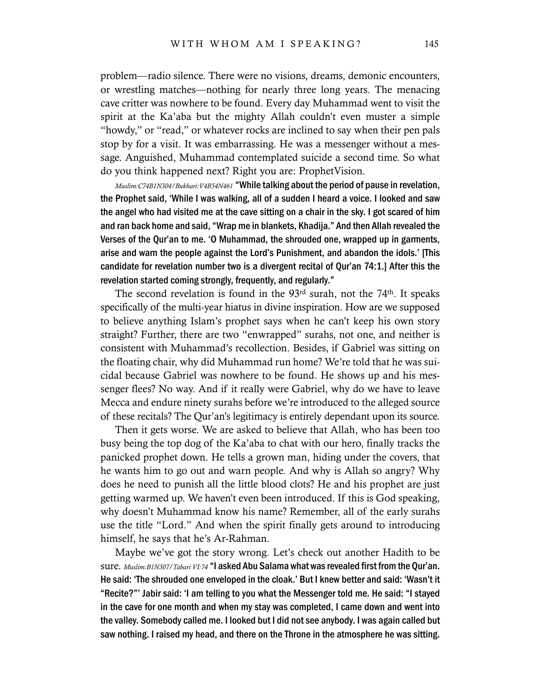problem—radio silence. There were no visions, dreams, demonic encounters, or wrestling matches—nothing for nearly three long years. The menacing cave critter was nowhere to be found. Every day Muhammad went to visit the spirit at the Ka'aba but the mighty Allah couldn't even muster a simple "howdy," or "read," or whatever rocks are inclined to say when their pen pals stop by for a visit. It was embarrassing. He was a messenger without a message. Anguished, Muhammad contemplated suicide a second time. So what do you think happened next? Right you are: ProphetVision.

*Muslim:C74B1N304/Bukhari:V4B54N461* "While talking about the period of pause in revelation, the Prophet said, 'While I was walking, all of a sudden I heard a voice. I looked and saw the angel who had visited me at the cave sitting on a chair in the sky. I got scared of him and ran back home and said, "Wrap me in blankets, Khadija." And then Allah revealed the Verses of the Qur'an to me. 'O Muhammad, the shrouded one, wrapped up in garments, arise and warn the people against the Lord's Punishment, and abandon the idols.' [This candidate for revelation number two is a divergent recital of Qur'an 74:1.] After this the revelation started coming strongly, frequently, and regularly."

The second revelation is found in the 93rd surah, not the 74th. It speaks specifically of the multi-year hiatus in divine inspiration. How are we supposed to believe anything Islam's prophet says when he can't keep his own story straight? Further, there are two "enwrapped" surahs, not one, and neither is consistent with Muhammad's recollection. Besides, if Gabriel was sitting on the floating chair, why did Muhammad run home? We're told that he was suicidal because Gabriel was nowhere to be found. He shows up and his messenger flees? No way. And if it really were Gabriel, why do we have to leave Mecca and endure ninety surahs before we're introduced to the alleged source of these recitals? The Qur'an's legitimacy is entirely dependant upon its source.

Then it gets worse. We are asked to believe that Allah, who has been too busy being the top dog of the Ka'aba to chat with our hero, finally tracks the panicked prophet down. He tells a grown man, hiding under the covers, that he wants him to go out and warn people. And why is Allah so angry? Why does he need to punish all the little blood clots? He and his prophet are just getting warmed up. We haven't even been introduced. If this is God speaking, why doesn't Muhammad know his name? Remember, all of the early surahs use the title "Lord." And when the spirit finally gets around to introducing himself, he says that he's Ar-Rahman.

Maybe we've got the story wrong. Let's check out another Hadith to be sure. *Muslim:B1N307/Tabari VI:74* "I asked Abu Salama what was revealed first from the Qur'an. He said: 'The shrouded one enveloped in the cloak.' But I knew better and said: 'Wasn't it "Recite?"' Jabir said: 'I am telling to you what the Messenger told me. He said: "I stayed in the cave for one month and when my stay was completed, I came down and went into the valley. Somebody called me. I looked but I did not see anybody. I was again called but saw nothing. I raised my head, and there on the Throne in the atmosphere he was sitting.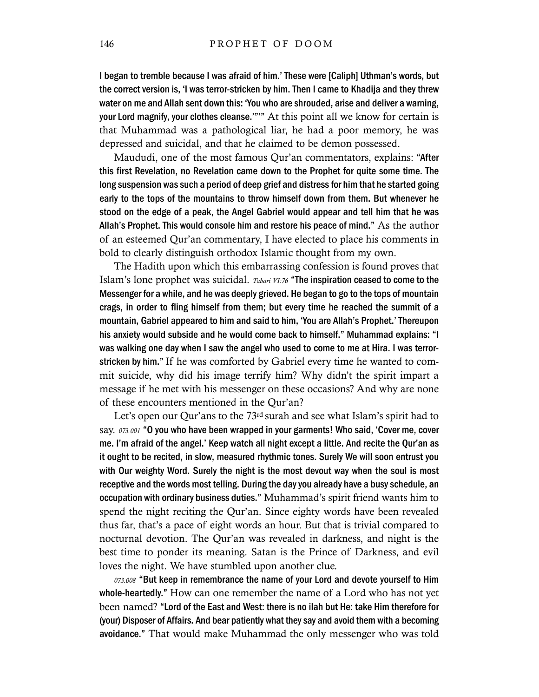I began to tremble because I was afraid of him.' These were [Caliph] Uthman's words, but the correct version is, 'I was terror-stricken by him. Then I came to Khadija and they threw water on me and Allah sent down this: 'You who are shrouded, arise and deliver a warning, your Lord magnify, your clothes cleanse.'"'" At this point all we know for certain is that Muhammad was a pathological liar, he had a poor memory, he was depressed and suicidal, and that he claimed to be demon possessed.

Maududi, one of the most famous Qur'an commentators, explains: "After this first Revelation, no Revelation came down to the Prophet for quite some time. The long suspension was such a period of deep grief and distress for him that he started going early to the tops of the mountains to throw himself down from them. But whenever he stood on the edge of a peak, the Angel Gabriel would appear and tell him that he was Allah's Prophet. This would console him and restore his peace of mind." As the author of an esteemed Qur'an commentary, I have elected to place his comments in bold to clearly distinguish orthodox Islamic thought from my own.

The Hadith upon which this embarrassing confession is found proves that Islam's lone prophet was suicidal. *Tabari VI:76* "The inspiration ceased to come to the Messenger for a while, and he was deeply grieved. He began to go to the tops of mountain crags, in order to fling himself from them; but every time he reached the summit of a mountain, Gabriel appeared to him and said to him, 'You are Allah's Prophet.' Thereupon his anxiety would subside and he would come back to himself." Muhammad explains: "I was walking one day when I saw the angel who used to come to me at Hira. I was terrorstricken by him." If he was comforted by Gabriel every time he wanted to commit suicide, why did his image terrify him? Why didn't the spirit impart a message if he met with his messenger on these occasions? And why are none of these encounters mentioned in the Qur'an?

Let's open our Qur'ans to the 73<sup>rd</sup> surah and see what Islam's spirit had to say. *073.001* "O you who have been wrapped in your garments! Who said, 'Cover me, cover me. I'm afraid of the angel.' Keep watch all night except a little. And recite the Qur'an as it ought to be recited, in slow, measured rhythmic tones. Surely We will soon entrust you with Our weighty Word. Surely the night is the most devout way when the soul is most receptive and the words most telling. During the day you already have a busy schedule, an occupation with ordinary business duties." Muhammad's spirit friend wants him to spend the night reciting the Qur'an. Since eighty words have been revealed thus far, that's a pace of eight words an hour. But that is trivial compared to nocturnal devotion. The Qur'an was revealed in darkness, and night is the best time to ponder its meaning. Satan is the Prince of Darkness, and evil loves the night. We have stumbled upon another clue.

*073.008* "But keep in remembrance the name of your Lord and devote yourself to Him whole-heartedly." How can one remember the name of a Lord who has not yet been named? "Lord of the East and West: there is no ilah but He: take Him therefore for (your) Disposer of Affairs. And bear patiently what they say and avoid them with a becoming avoidance." That would make Muhammad the only messenger who was told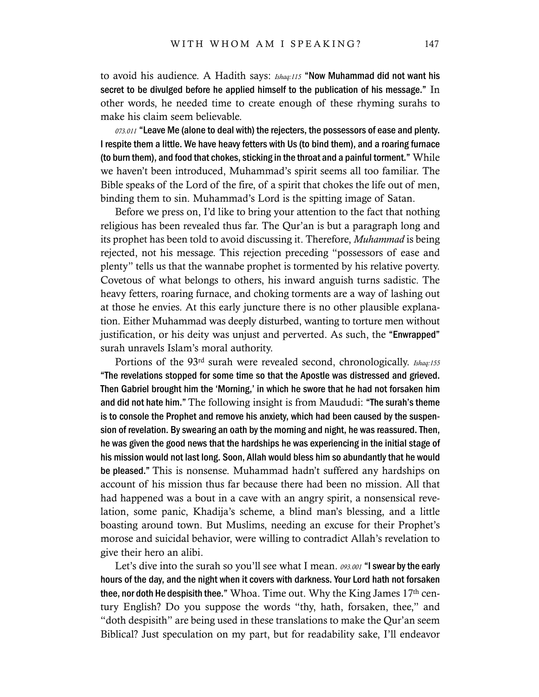to avoid his audience. A Hadith says: *Ishaq:115* "Now Muhammad did not want his secret to be divulged before he applied himself to the publication of his message." In other words, he needed time to create enough of these rhyming surahs to make his claim seem believable.

*073.011* "Leave Me (alone to deal with) the rejecters, the possessors of ease and plenty. I respite them a little. We have heavy fetters with Us (to bind them), and a roaring furnace (to burn them), and food that chokes, sticking in the throat and a painful torment." While we haven't been introduced, Muhammad's spirit seems all too familiar. The Bible speaks of the Lord of the fire, of a spirit that chokes the life out of men, binding them to sin. Muhammad's Lord is the spitting image of Satan.

Before we press on, I'd like to bring your attention to the fact that nothing religious has been revealed thus far. The Qur'an is but a paragraph long and its prophet has been told to avoid discussing it. Therefore, *Muhammad* is being rejected, not his message. This rejection preceding "possessors of ease and plenty" tells us that the wannabe prophet is tormented by his relative poverty. Covetous of what belongs to others, his inward anguish turns sadistic. The heavy fetters, roaring furnace, and choking torments are a way of lashing out at those he envies. At this early juncture there is no other plausible explanation. Either Muhammad was deeply disturbed, wanting to torture men without justification, or his deity was unjust and perverted. As such, the "Enwrapped" surah unravels Islam's moral authority.

Portions of the 93rd surah were revealed second, chronologically. *Ishaq:155* "The revelations stopped for some time so that the Apostle was distressed and grieved. Then Gabriel brought him the 'Morning,' in which he swore that he had not forsaken him and did not hate him." The following insight is from Maududi: "The surah's theme is to console the Prophet and remove his anxiety, which had been caused by the suspension of revelation. By swearing an oath by the morning and night, he was reassured. Then, he was given the good news that the hardships he was experiencing in the initial stage of his mission would not last long. Soon, Allah would bless him so abundantly that he would be pleased." This is nonsense. Muhammad hadn't suffered any hardships on account of his mission thus far because there had been no mission. All that had happened was a bout in a cave with an angry spirit, a nonsensical revelation, some panic, Khadija's scheme, a blind man's blessing, and a little boasting around town. But Muslims, needing an excuse for their Prophet's morose and suicidal behavior, were willing to contradict Allah's revelation to give their hero an alibi.

Let's dive into the surah so you'll see what I mean. *093.001* "I swear by the early hours of the day, and the night when it covers with darkness. Your Lord hath not forsaken thee, nor doth He despisith thee." Whoa. Time out. Why the King James  $17<sup>th</sup>$  century English? Do you suppose the words "thy, hath, forsaken, thee," and "doth despisith" are being used in these translations to make the Qur'an seem Biblical? Just speculation on my part, but for readability sake, I'll endeavor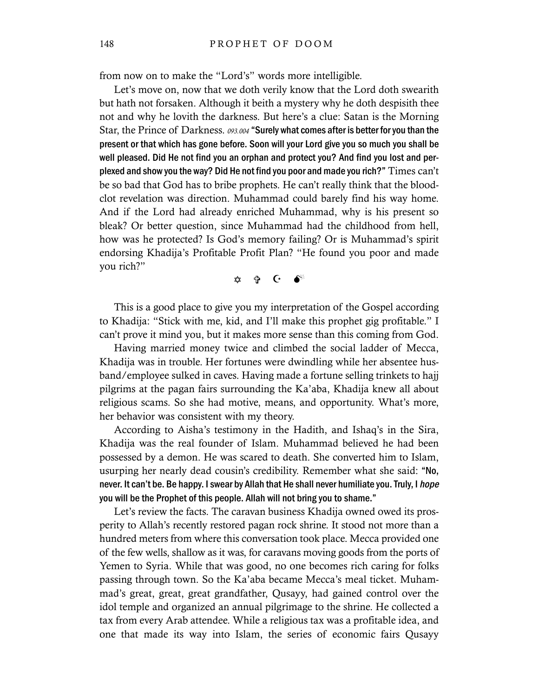from now on to make the "Lord's" words more intelligible.

Let's move on, now that we doth verily know that the Lord doth swearith but hath not forsaken. Although it beith a mystery why he doth despisith thee not and why he lovith the darkness. But here's a clue: Satan is the Morning Star, the Prince of Darkness. *093.004* "Surely what comes after is better for you than the present or that which has gone before. Soon will your Lord give you so much you shall be well pleased. Did He not find you an orphan and protect you? And find you lost and perplexed and show you the way? Did He not find you poor and made you rich?" Times can't be so bad that God has to bribe prophets. He can't really think that the bloodclot revelation was direction. Muhammad could barely find his way home. And if the Lord had already enriched Muhammad, why is his present so bleak? Or better question, since Muhammad had the childhood from hell, how was he protected? Is God's memory failing? Or is Muhammad's spirit endorsing Khadija's Profitable Profit Plan? "He found you poor and made you rich?"

**众 中 ( 、 6<sup>%</sup>** 

This is a good place to give you my interpretation of the Gospel according to Khadija: "Stick with me, kid, and I'll make this prophet gig profitable." I can't prove it mind you, but it makes more sense than this coming from God.

Having married money twice and climbed the social ladder of Mecca, Khadija was in trouble. Her fortunes were dwindling while her absentee husband/employee sulked in caves. Having made a fortune selling trinkets to hajj pilgrims at the pagan fairs surrounding the Ka'aba, Khadija knew all about religious scams. So she had motive, means, and opportunity. What's more, her behavior was consistent with my theory.

According to Aisha's testimony in the Hadith, and Ishaq's in the Sira, Khadija was the real founder of Islam. Muhammad believed he had been possessed by a demon. He was scared to death. She converted him to Islam, usurping her nearly dead cousin's credibility. Remember what she said: "No, never. It can't be. Be happy. I swear by Allah that He shall never humiliate you. Truly, I hope you will be the Prophet of this people. Allah will not bring you to shame."

Let's review the facts. The caravan business Khadija owned owed its prosperity to Allah's recently restored pagan rock shrine. It stood not more than a hundred meters from where this conversation took place. Mecca provided one of the few wells, shallow as it was, for caravans moving goods from the ports of Yemen to Syria. While that was good, no one becomes rich caring for folks passing through town. So the Ka'aba became Mecca's meal ticket. Muhammad's great, great, great grandfather, Qusayy, had gained control over the idol temple and organized an annual pilgrimage to the shrine. He collected a tax from every Arab attendee. While a religious tax was a profitable idea, and one that made its way into Islam, the series of economic fairs Qusayy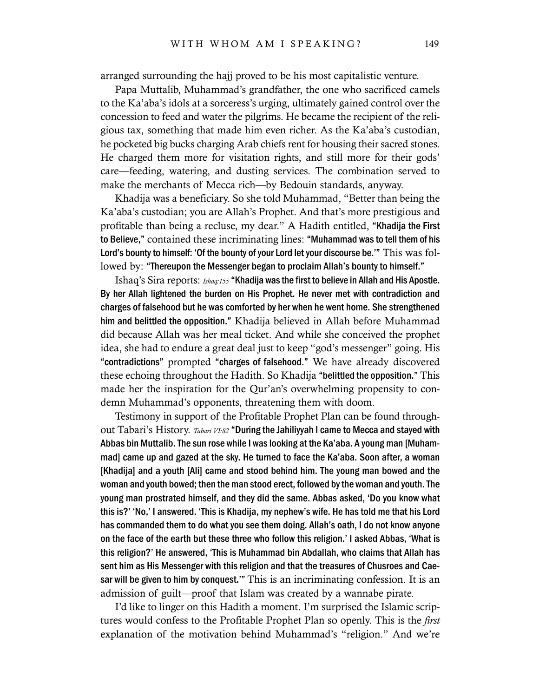arranged surrounding the hajj proved to be his most capitalistic venture.

Papa Muttalib, Muhammad's grandfather, the one who sacrificed camels to the Ka'aba's idols at a sorceress's urging, ultimately gained control over the concession to feed and water the pilgrims. He became the recipient of the religious tax, something that made him even richer. As the Ka'aba's custodian, he pocketed big bucks charging Arab chiefs rent for housing their sacred stones. He charged them more for visitation rights, and still more for their gods' care—feeding, watering, and dusting services. The combination served to make the merchants of Mecca rich—by Bedouin standards, anyway.

Khadija was a beneficiary. So she told Muhammad, "Better than being the Ka'aba's custodian; you are Allah's Prophet. And that's more prestigious and profitable than being a recluse, my dear." A Hadith entitled, "Khadija the First to Believe," contained these incriminating lines: "Muhammad was to tell them of his Lord's bounty to himself: 'Of the bounty of your Lord let your discourse be.'" This was followed by: "Thereupon the Messenger began to proclaim Allah's bounty to himself."

Ishaq's Sira reports: *Ishaq:155* "Khadija was the first to believe in Allah and His Apostle. By her Allah lightened the burden on His Prophet. He never met with contradiction and charges of falsehood but he was comforted by her when he went home. She strengthened him and belittled the opposition." Khadija believed in Allah before Muhammad did because Allah was her meal ticket. And while she conceived the prophet idea, she had to endure a great deal just to keep "god's messenger" going. His "contradictions" prompted "charges of falsehood." We have already discovered these echoing throughout the Hadith. So Khadija "belittled the opposition." This made her the inspiration for the Qur'an's overwhelming propensity to condemn Muhammad's opponents, threatening them with doom.

Testimony in support of the Profitable Prophet Plan can be found throughout Tabari's History. *Tabari VI:82* "During the Jahiliyyah I came to Mecca and stayed with Abbas bin Muttalib. The sun rose while I was looking at the Ka'aba. A young man [Muhammad] came up and gazed at the sky. He turned to face the Ka'aba. Soon after, a woman [Khadija] and a youth [Ali] came and stood behind him. The young man bowed and the woman and youth bowed; then the man stood erect, followed by the woman and youth. The young man prostrated himself, and they did the same. Abbas asked, 'Do you know what this is?' 'No,' I answered. 'This is Khadija, my nephew's wife. He has told me that his Lord has commanded them to do what you see them doing. Allah's oath, I do not know anyone on the face of the earth but these three who follow this religion.' I asked Abbas, 'What is this religion?' He answered, 'This is Muhammad bin Abdallah, who claims that Allah has sent him as His Messenger with this religion and that the treasures of Chusroes and Caesar will be given to him by conquest.'" This is an incriminating confession. It is an admission of guilt—proof that Islam was created by a wannabe pirate.

I'd like to linger on this Hadith a moment. I'm surprised the Islamic scriptures would confess to the Profitable Prophet Plan so openly. This is the *first* explanation of the motivation behind Muhammad's "religion." And we're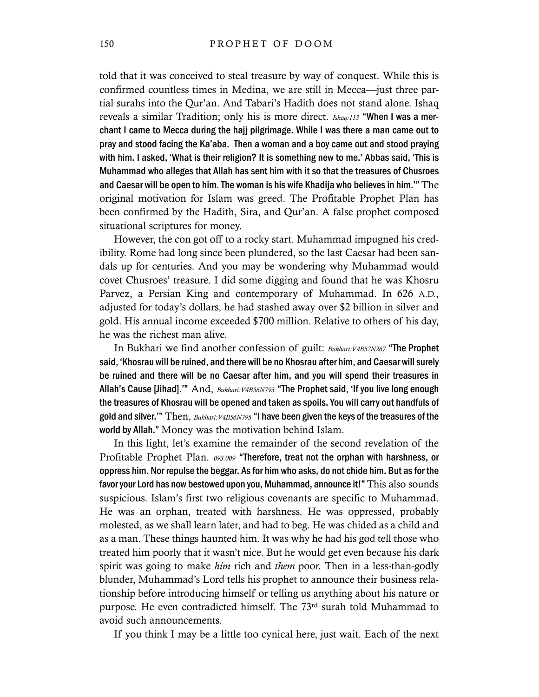told that it was conceived to steal treasure by way of conquest. While this is confirmed countless times in Medina, we are still in Mecca—just three partial surahs into the Qur'an. And Tabari's Hadith does not stand alone. Ishaq reveals a similar Tradition; only his is more direct. *Ishaq:113* "When I was a merchant I came to Mecca during the hajj pilgrimage. While I was there a man came out to pray and stood facing the Ka'aba. Then a woman and a boy came out and stood praying with him. I asked, 'What is their religion? It is something new to me.' Abbas said, 'This is Muhammad who alleges that Allah has sent him with it so that the treasures of Chusroes and Caesar will be open to him. The woman is his wife Khadija who believes in him.'" The original motivation for Islam was greed. The Profitable Prophet Plan has been confirmed by the Hadith, Sira, and Qur'an. A false prophet composed situational scriptures for money.

However, the con got off to a rocky start. Muhammad impugned his credibility. Rome had long since been plundered, so the last Caesar had been sandals up for centuries. And you may be wondering why Muhammad would covet Chusroes' treasure. I did some digging and found that he was Khosru Parvez, a Persian King and contemporary of Muhammad. In 626 A.D., adjusted for today's dollars, he had stashed away over \$2 billion in silver and gold. His annual income exceeded \$700 million. Relative to others of his day, he was the richest man alive.

In Bukhari we find another confession of guilt: *Bukhari:V4B52N267* "The Prophet said, 'Khosrau will be ruined, and there will be no Khosrau after him, and Caesar will surely be ruined and there will be no Caesar after him, and you will spend their treasures in Allah's Cause [Jihad]." And, *Bukhari:V4B56N793* "The Prophet said, 'If you live long enough the treasures of Khosrau will be opened and taken as spoils. You will carry out handfuls of gold and silver.'" Then, *Bukhari:V4B56N795* "I have been given the keys of the treasures of the world by Allah." Money was the motivation behind Islam.

In this light, let's examine the remainder of the second revelation of the Profitable Prophet Plan. *093.009* "Therefore, treat not the orphan with harshness, or oppress him. Nor repulse the beggar. As for him who asks, do not chide him. But as for the favor your Lord has now bestowed upon you, Muhammad, announce it!" This also sounds suspicious. Islam's first two religious covenants are specific to Muhammad. He was an orphan, treated with harshness. He was oppressed, probably molested, as we shall learn later, and had to beg. He was chided as a child and as a man. These things haunted him. It was why he had his god tell those who treated him poorly that it wasn't nice. But he would get even because his dark spirit was going to make *him* rich and *them* poor. Then in a less-than-godly blunder, Muhammad's Lord tells his prophet to announce their business relationship before introducing himself or telling us anything about his nature or purpose. He even contradicted himself. The 73rd surah told Muhammad to avoid such announcements.

If you think I may be a little too cynical here, just wait. Each of the next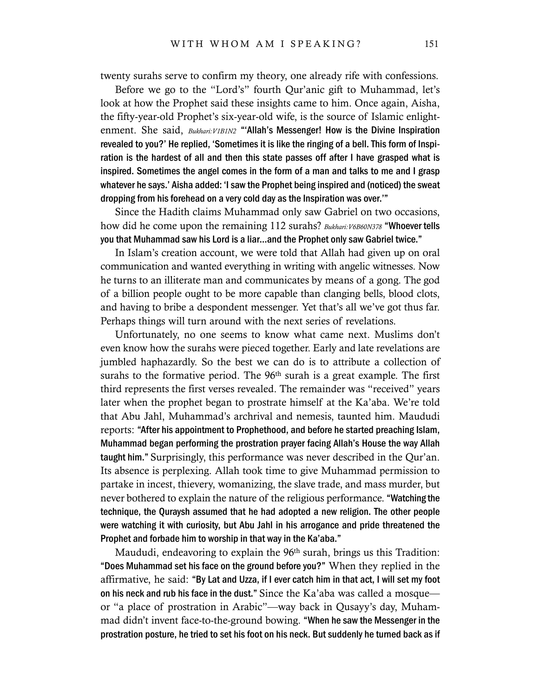twenty surahs serve to confirm my theory, one already rife with confessions.

Before we go to the "Lord's" fourth Qur'anic gift to Muhammad, let's look at how the Prophet said these insights came to him. Once again, Aisha, the fifty-year-old Prophet's six-year-old wife, is the source of Islamic enlightenment. She said, *Bukhari:V1B1N2* "'Allah's Messenger! How is the Divine Inspiration revealed to you?' He replied, 'Sometimes it is like the ringing of a bell. This form of Inspiration is the hardest of all and then this state passes off after I have grasped what is inspired. Sometimes the angel comes in the form of a man and talks to me and I grasp whatever he says.' Aisha added: 'I saw the Prophet being inspired and (noticed) the sweat dropping from his forehead on a very cold day as the Inspiration was over.'"

Since the Hadith claims Muhammad only saw Gabriel on two occasions, how did he come upon the remaining 112 surahs? *Bukhari:V6B60N378* "Whoever tells you that Muhammad saw his Lord is a liar…and the Prophet only saw Gabriel twice."

In Islam's creation account, we were told that Allah had given up on oral communication and wanted everything in writing with angelic witnesses. Now he turns to an illiterate man and communicates by means of a gong. The god of a billion people ought to be more capable than clanging bells, blood clots, and having to bribe a despondent messenger. Yet that's all we've got thus far. Perhaps things will turn around with the next series of revelations.

Unfortunately, no one seems to know what came next. Muslims don't even know how the surahs were pieced together. Early and late revelations are jumbled haphazardly. So the best we can do is to attribute a collection of surahs to the formative period. The 96<sup>th</sup> surah is a great example. The first third represents the first verses revealed. The remainder was "received" years later when the prophet began to prostrate himself at the Ka'aba. We're told that Abu Jahl, Muhammad's archrival and nemesis, taunted him. Maududi reports: "After his appointment to Prophethood, and before he started preaching Islam, Muhammad began performing the prostration prayer facing Allah's House the way Allah taught him." Surprisingly, this performance was never described in the Qur'an. Its absence is perplexing. Allah took time to give Muhammad permission to partake in incest, thievery, womanizing, the slave trade, and mass murder, but never bothered to explain the nature of the religious performance. "Watching the technique, the Quraysh assumed that he had adopted a new religion. The other people were watching it with curiosity, but Abu Jahl in his arrogance and pride threatened the Prophet and forbade him to worship in that way in the Ka'aba."

Maududi, endeavoring to explain the 96<sup>th</sup> surah, brings us this Tradition: "Does Muhammad set his face on the ground before you?" When they replied in the affirmative, he said: "By Lat and Uzza, if I ever catch him in that act, I will set my foot on his neck and rub his face in the dust." Since the Ka'aba was called a mosque or "a place of prostration in Arabic"—way back in Qusayy's day, Muhammad didn't invent face-to-the-ground bowing. "When he saw the Messenger in the prostration posture, he tried to set his foot on his neck. But suddenly he turned back as if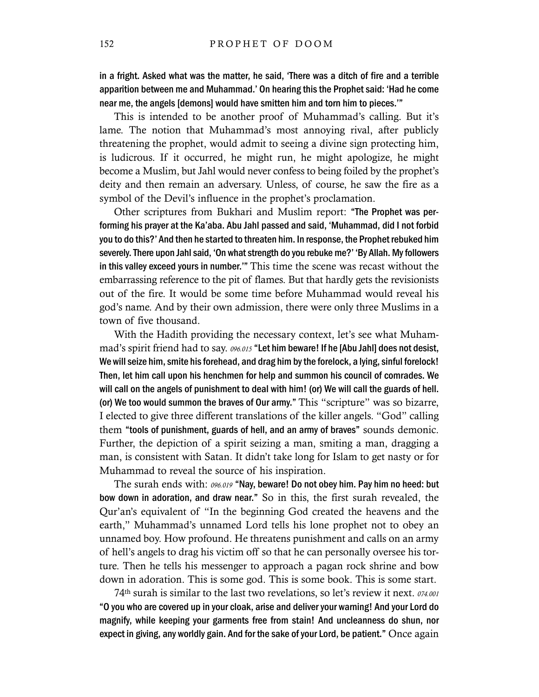in a fright. Asked what was the matter, he said, 'There was a ditch of fire and a terrible apparition between me and Muhammad.' On hearing this the Prophet said: 'Had he come near me, the angels [demons] would have smitten him and torn him to pieces.'"

This is intended to be another proof of Muhammad's calling. But it's lame. The notion that Muhammad's most annoying rival, after publicly threatening the prophet, would admit to seeing a divine sign protecting him, is ludicrous. If it occurred, he might run, he might apologize, he might become a Muslim, but Jahl would never confess to being foiled by the prophet's deity and then remain an adversary. Unless, of course, he saw the fire as a symbol of the Devil's influence in the prophet's proclamation.

Other scriptures from Bukhari and Muslim report: "The Prophet was performing his prayer at the Ka'aba. Abu Jahl passed and said, 'Muhammad, did I not forbid you to do this?' And then he started to threaten him. In response, the Prophet rebuked him severely. There upon Jahl said, 'On what strength do you rebuke me?' 'By Allah. My followers in this valley exceed yours in number.'" This time the scene was recast without the embarrassing reference to the pit of flames. But that hardly gets the revisionists out of the fire. It would be some time before Muhammad would reveal his god's name. And by their own admission, there were only three Muslims in a town of five thousand.

With the Hadith providing the necessary context, let's see what Muhammad's spirit friend had to say. *096.015* "Let him beware! If he [Abu Jahl] does not desist, We will seize him, smite his forehead, and drag him by the forelock, a lying, sinful forelock! Then, let him call upon his henchmen for help and summon his council of comrades. We will call on the angels of punishment to deal with him! (or) We will call the guards of hell. (or) We too would summon the braves of Our army." This "scripture" was so bizarre, I elected to give three different translations of the killer angels. "God" calling them "tools of punishment, guards of hell, and an army of braves" sounds demonic. Further, the depiction of a spirit seizing a man, smiting a man, dragging a man, is consistent with Satan. It didn't take long for Islam to get nasty or for Muhammad to reveal the source of his inspiration.

The surah ends with: *096.019* "Nay, beware! Do not obey him. Pay him no heed: but bow down in adoration, and draw near." So in this, the first surah revealed, the Qur'an's equivalent of "In the beginning God created the heavens and the earth," Muhammad's unnamed Lord tells his lone prophet not to obey an unnamed boy. How profound. He threatens punishment and calls on an army of hell's angels to drag his victim off so that he can personally oversee his torture. Then he tells his messenger to approach a pagan rock shrine and bow down in adoration. This is some god. This is some book. This is some start.

74th surah is similar to the last two revelations, so let's review it next. *074.001* "O you who are covered up in your cloak, arise and deliver your warning! And your Lord do magnify, while keeping your garments free from stain! And uncleanness do shun, nor expect in giving, any worldly gain. And for the sake of your Lord, be patient." Once again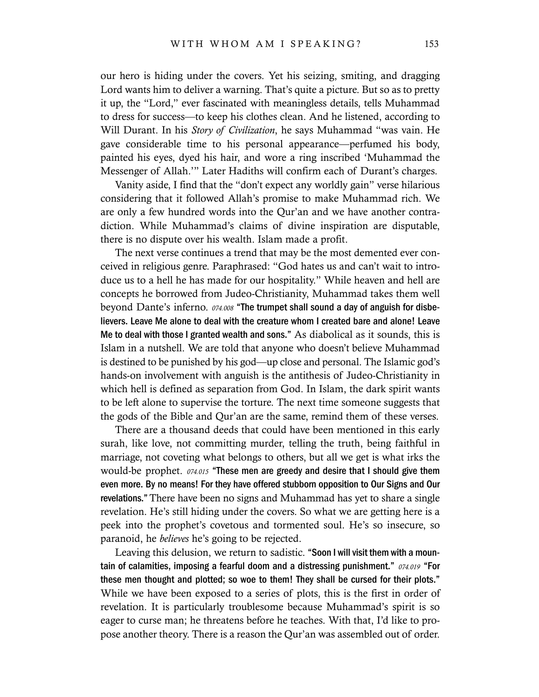our hero is hiding under the covers. Yet his seizing, smiting, and dragging Lord wants him to deliver a warning. That's quite a picture. But so as to pretty it up, the "Lord," ever fascinated with meaningless details, tells Muhammad to dress for success—to keep his clothes clean. And he listened, according to Will Durant. In his *Story of Civilization*, he says Muhammad "was vain. He gave considerable time to his personal appearance—perfumed his body, painted his eyes, dyed his hair, and wore a ring inscribed 'Muhammad the Messenger of Allah.'" Later Hadiths will confirm each of Durant's charges.

Vanity aside, I find that the "don't expect any worldly gain" verse hilarious considering that it followed Allah's promise to make Muhammad rich. We are only a few hundred words into the Qur'an and we have another contradiction. While Muhammad's claims of divine inspiration are disputable, there is no dispute over his wealth. Islam made a profit.

The next verse continues a trend that may be the most demented ever conceived in religious genre. Paraphrased: "God hates us and can't wait to introduce us to a hell he has made for our hospitality." While heaven and hell are concepts he borrowed from Judeo-Christianity, Muhammad takes them well beyond Dante's inferno. *074.008* "The trumpet shall sound a day of anguish for disbelievers. Leave Me alone to deal with the creature whom I created bare and alone! Leave Me to deal with those I granted wealth and sons." As diabolical as it sounds, this is Islam in a nutshell. We are told that anyone who doesn't believe Muhammad is destined to be punished by his god—up close and personal. The Islamic god's hands-on involvement with anguish is the antithesis of Judeo-Christianity in which hell is defined as separation from God. In Islam, the dark spirit wants to be left alone to supervise the torture. The next time someone suggests that the gods of the Bible and Qur'an are the same, remind them of these verses.

There are a thousand deeds that could have been mentioned in this early surah, like love, not committing murder, telling the truth, being faithful in marriage, not coveting what belongs to others, but all we get is what irks the would-be prophet. *074.015* "These men are greedy and desire that I should give them even more. By no means! For they have offered stubborn opposition to Our Signs and Our revelations." There have been no signs and Muhammad has yet to share a single revelation. He's still hiding under the covers. So what we are getting here is a peek into the prophet's covetous and tormented soul. He's so insecure, so paranoid, he *believes* he's going to be rejected.

Leaving this delusion, we return to sadistic. "Soon I will visit them with a mountain of calamities, imposing a fearful doom and a distressing punishment." *074.019* "For these men thought and plotted; so woe to them! They shall be cursed for their plots." While we have been exposed to a series of plots, this is the first in order of revelation. It is particularly troublesome because Muhammad's spirit is so eager to curse man; he threatens before he teaches. With that, I'd like to propose another theory. There is a reason the Qur'an was assembled out of order.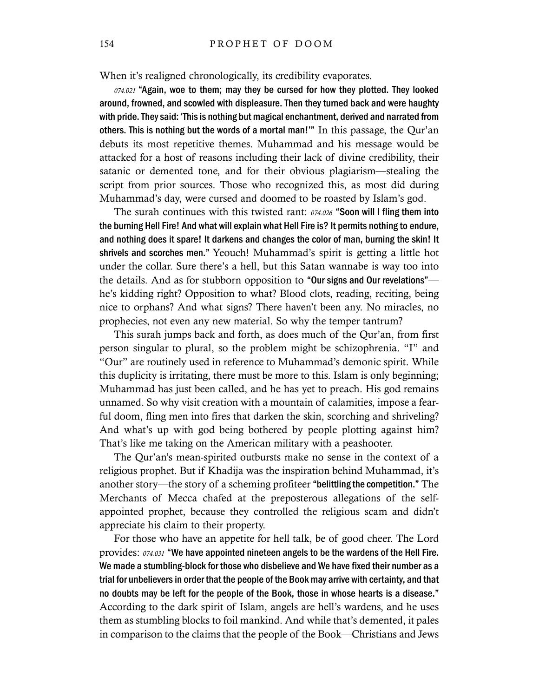When it's realigned chronologically, its credibility evaporates.

*074.021* "Again, woe to them; may they be cursed for how they plotted. They looked around, frowned, and scowled with displeasure. Then they turned back and were haughty with pride. They said: 'This is nothing but magical enchantment, derived and narrated from others. This is nothing but the words of a mortal man!'" In this passage, the Qur'an debuts its most repetitive themes. Muhammad and his message would be attacked for a host of reasons including their lack of divine credibility, their satanic or demented tone, and for their obvious plagiarism—stealing the script from prior sources. Those who recognized this, as most did during Muhammad's day, were cursed and doomed to be roasted by Islam's god.

The surah continues with this twisted rant: *074.026* "Soon will I fling them into the burning Hell Fire! And what will explain what Hell Fire is? It permits nothing to endure, and nothing does it spare! It darkens and changes the color of man, burning the skin! It shrivels and scorches men." Yeouch! Muhammad's spirit is getting a little hot under the collar. Sure there's a hell, but this Satan wannabe is way too into the details. And as for stubborn opposition to "Our signs and Our revelations" he's kidding right? Opposition to what? Blood clots, reading, reciting, being nice to orphans? And what signs? There haven't been any. No miracles, no prophecies, not even any new material. So why the temper tantrum?

This surah jumps back and forth, as does much of the Qur'an, from first person singular to plural, so the problem might be schizophrenia. "I" and "Our" are routinely used in reference to Muhammad's demonic spirit. While this duplicity is irritating, there must be more to this. Islam is only beginning; Muhammad has just been called, and he has yet to preach. His god remains unnamed. So why visit creation with a mountain of calamities, impose a fearful doom, fling men into fires that darken the skin, scorching and shriveling? And what's up with god being bothered by people plotting against him? That's like me taking on the American military with a peashooter.

The Qur'an's mean-spirited outbursts make no sense in the context of a religious prophet. But if Khadija was the inspiration behind Muhammad, it's another story—the story of a scheming profiteer "belittling the competition." The Merchants of Mecca chafed at the preposterous allegations of the selfappointed prophet, because they controlled the religious scam and didn't appreciate his claim to their property.

For those who have an appetite for hell talk, be of good cheer. The Lord provides: *074.031* "We have appointed nineteen angels to be the wardens of the Hell Fire. We made a stumbling-block for those who disbelieve and We have fixed their number as a trial for unbelievers in order that the people of the Book may arrive with certainty, and that no doubts may be left for the people of the Book, those in whose hearts is a disease." According to the dark spirit of Islam, angels are hell's wardens, and he uses them as stumbling blocks to foil mankind. And while that's demented, it pales in comparison to the claims that the people of the Book—Christians and Jews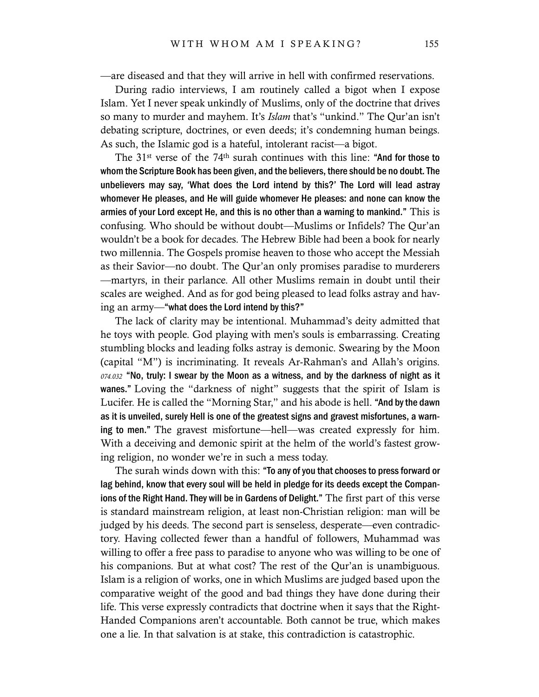—are diseased and that they will arrive in hell with confirmed reservations.

During radio interviews, I am routinely called a bigot when I expose Islam. Yet I never speak unkindly of Muslims, only of the doctrine that drives so many to murder and mayhem. It's *Islam* that's "unkind." The Qur'an isn't debating scripture, doctrines, or even deeds; it's condemning human beings. As such, the Islamic god is a hateful, intolerant racist—a bigot.

The 31<sup>st</sup> verse of the 74<sup>th</sup> surah continues with this line: "And for those to whom the Scripture Book has been given, and the believers, there should be no doubt. The unbelievers may say, 'What does the Lord intend by this?' The Lord will lead astray whomever He pleases, and He will guide whomever He pleases: and none can know the armies of your Lord except He, and this is no other than a warning to mankind." This is confusing. Who should be without doubt—Muslims or Infidels? The Qur'an wouldn't be a book for decades. The Hebrew Bible had been a book for nearly two millennia. The Gospels promise heaven to those who accept the Messiah as their Savior—no doubt. The Qur'an only promises paradise to murderers —martyrs, in their parlance. All other Muslims remain in doubt until their scales are weighed. And as for god being pleased to lead folks astray and having an army—"what does the Lord intend by this?"

The lack of clarity may be intentional. Muhammad's deity admitted that he toys with people. God playing with men's souls is embarrassing. Creating stumbling blocks and leading folks astray is demonic. Swearing by the Moon (capital "M") is incriminating. It reveals Ar-Rahman's and Allah's origins. *074.032* "No, truly: I swear by the Moon as a witness, and by the darkness of night as it wanes." Loving the "darkness of night" suggests that the spirit of Islam is Lucifer. He is called the "Morning Star," and his abode is hell. "And by the dawn as it is unveiled, surely Hell is one of the greatest signs and gravest misfortunes, a warning to men." The gravest misfortune—hell—was created expressly for him. With a deceiving and demonic spirit at the helm of the world's fastest growing religion, no wonder we're in such a mess today.

The surah winds down with this: "To any of you that chooses to press forward or lag behind, know that every soul will be held in pledge for its deeds except the Companions of the Right Hand. They will be in Gardens of Delight." The first part of this verse is standard mainstream religion, at least non-Christian religion: man will be judged by his deeds. The second part is senseless, desperate—even contradictory. Having collected fewer than a handful of followers, Muhammad was willing to offer a free pass to paradise to anyone who was willing to be one of his companions. But at what cost? The rest of the Qur'an is unambiguous. Islam is a religion of works, one in which Muslims are judged based upon the comparative weight of the good and bad things they have done during their life. This verse expressly contradicts that doctrine when it says that the Right-Handed Companions aren't accountable. Both cannot be true, which makes one a lie. In that salvation is at stake, this contradiction is catastrophic.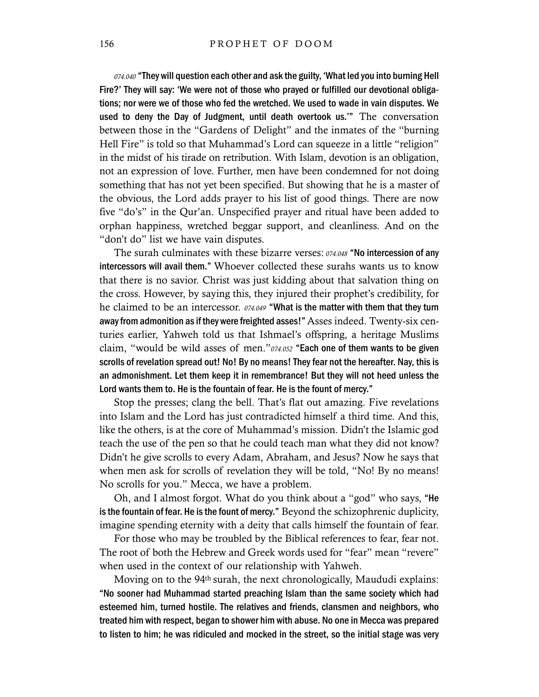*074.040* "They will question each other and ask the guilty, 'What led you into burning Hell Fire?' They will say: 'We were not of those who prayed or fulfilled our devotional obligations; nor were we of those who fed the wretched. We used to wade in vain disputes. We used to deny the Day of Judgment, until death overtook us.'" The conversation between those in the "Gardens of Delight" and the inmates of the "burning Hell Fire" is told so that Muhammad's Lord can squeeze in a little "religion" in the midst of his tirade on retribution. With Islam, devotion is an obligation, not an expression of love. Further, men have been condemned for not doing something that has not yet been specified. But showing that he is a master of the obvious, the Lord adds prayer to his list of good things. There are now five "do's" in the Qur'an. Unspecified prayer and ritual have been added to orphan happiness, wretched beggar support, and cleanliness. And on the "don't do" list we have vain disputes.

The surah culminates with these bizarre verses: *074.048* "No intercession of any intercessors will avail them." Whoever collected these surahs wants us to know that there is no savior. Christ was just kidding about that salvation thing on the cross. However, by saying this, they injured their prophet's credibility, for he claimed to be an intercessor. *074.049* "What is the matter with them that they turn away from admonition as if they were freighted asses!" Asses indeed. Twenty-six centuries earlier, Yahweh told us that Ishmael's offspring, a heritage Muslims claim, "would be wild asses of men."*074.052* "Each one of them wants to be given scrolls of revelation spread out! No! By no means! They fear not the hereafter. Nay, this is an admonishment. Let them keep it in remembrance! But they will not heed unless the Lord wants them to. He is the fountain of fear. He is the fount of mercy."

Stop the presses; clang the bell. That's flat out amazing. Five revelations into Islam and the Lord has just contradicted himself a third time. And this, like the others, is at the core of Muhammad's mission. Didn't the Islamic god teach the use of the pen so that he could teach man what they did not know? Didn't he give scrolls to every Adam, Abraham, and Jesus? Now he says that when men ask for scrolls of revelation they will be told, "No! By no means! No scrolls for you." Mecca, we have a problem.

Oh, and I almost forgot. What do you think about a "god" who says, "He is the fountain of fear. He is the fount of mercy." Beyond the schizophrenic duplicity, imagine spending eternity with a deity that calls himself the fountain of fear.

For those who may be troubled by the Biblical references to fear, fear not. The root of both the Hebrew and Greek words used for "fear" mean "revere" when used in the context of our relationship with Yahweh.

Moving on to the 94<sup>th</sup> surah, the next chronologically, Maududi explains: "No sooner had Muhammad started preaching Islam than the same society which had esteemed him, turned hostile. The relatives and friends, clansmen and neighbors, who treated him with respect, began to shower him with abuse. No one in Mecca was prepared to listen to him; he was ridiculed and mocked in the street, so the initial stage was very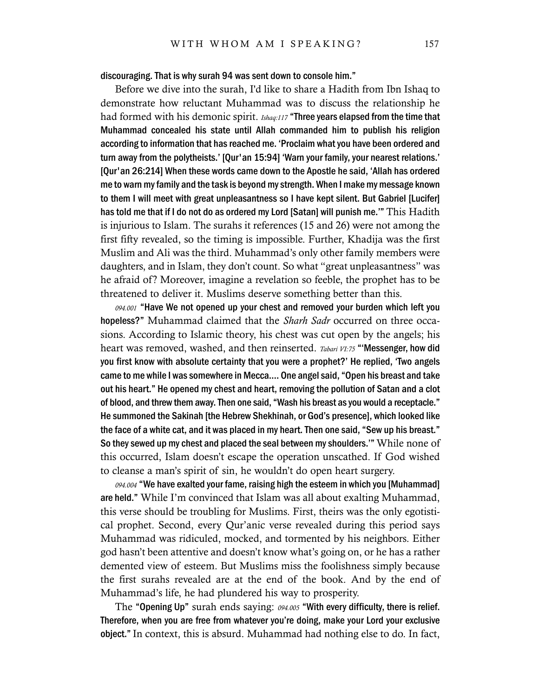discouraging. That is why surah 94 was sent down to console him."

Before we dive into the surah, I'd like to share a Hadith from Ibn Ishaq to demonstrate how reluctant Muhammad was to discuss the relationship he had formed with his demonic spirit. *Ishaq:117* "Three years elapsed from the time that Muhammad concealed his state until Allah commanded him to publish his religion according to information that has reached me. 'Proclaim what you have been ordered and turn away from the polytheists.' [Qur'an 15:94] 'Warn your family, your nearest relations.' [Qur'an 26:214] When these words came down to the Apostle he said, 'Allah has ordered me to warn my family and the task is beyond my strength. When I make my message known to them I will meet with great unpleasantness so I have kept silent. But Gabriel [Lucifer] has told me that if I do not do as ordered my Lord [Satan] will punish me.'" This Hadith is injurious to Islam. The surahs it references (15 and 26) were not among the first fifty revealed, so the timing is impossible. Further, Khadija was the first Muslim and Ali was the third. Muhammad's only other family members were daughters, and in Islam, they don't count. So what "great unpleasantness" was he afraid of? Moreover, imagine a revelation so feeble, the prophet has to be threatened to deliver it. Muslims deserve something better than this.

*094.001* "Have We not opened up your chest and removed your burden which left you hopeless?" Muhammad claimed that the *Sharh Sadr* occurred on three occasions. According to Islamic theory, his chest was cut open by the angels; his heart was removed, washed, and then reinserted. *Tabari VI:75* "'Messenger, how did you first know with absolute certainty that you were a prophet?' He replied, 'Two angels came to me while I was somewhere in Mecca…. One angel said, "Open his breast and take out his heart." He opened my chest and heart, removing the pollution of Satan and a clot of blood, and threw them away. Then one said, "Wash his breast as you would a receptacle." He summoned the Sakinah [the Hebrew Shekhinah, or God's presence], which looked like the face of a white cat, and it was placed in my heart. Then one said, "Sew up his breast." So they sewed up my chest and placed the seal between my shoulders.'" While none of this occurred, Islam doesn't escape the operation unscathed. If God wished to cleanse a man's spirit of sin, he wouldn't do open heart surgery.

*094.004* "We have exalted your fame, raising high the esteem in which you [Muhammad] are held." While I'm convinced that Islam was all about exalting Muhammad, this verse should be troubling for Muslims. First, theirs was the only egotistical prophet. Second, every Qur'anic verse revealed during this period says Muhammad was ridiculed, mocked, and tormented by his neighbors. Either god hasn't been attentive and doesn't know what's going on, or he has a rather demented view of esteem. But Muslims miss the foolishness simply because the first surahs revealed are at the end of the book. And by the end of Muhammad's life, he had plundered his way to prosperity.

The "Opening Up" surah ends saying: *094.005* "With every difficulty, there is relief. Therefore, when you are free from whatever you're doing, make your Lord your exclusive object." In context, this is absurd. Muhammad had nothing else to do. In fact,